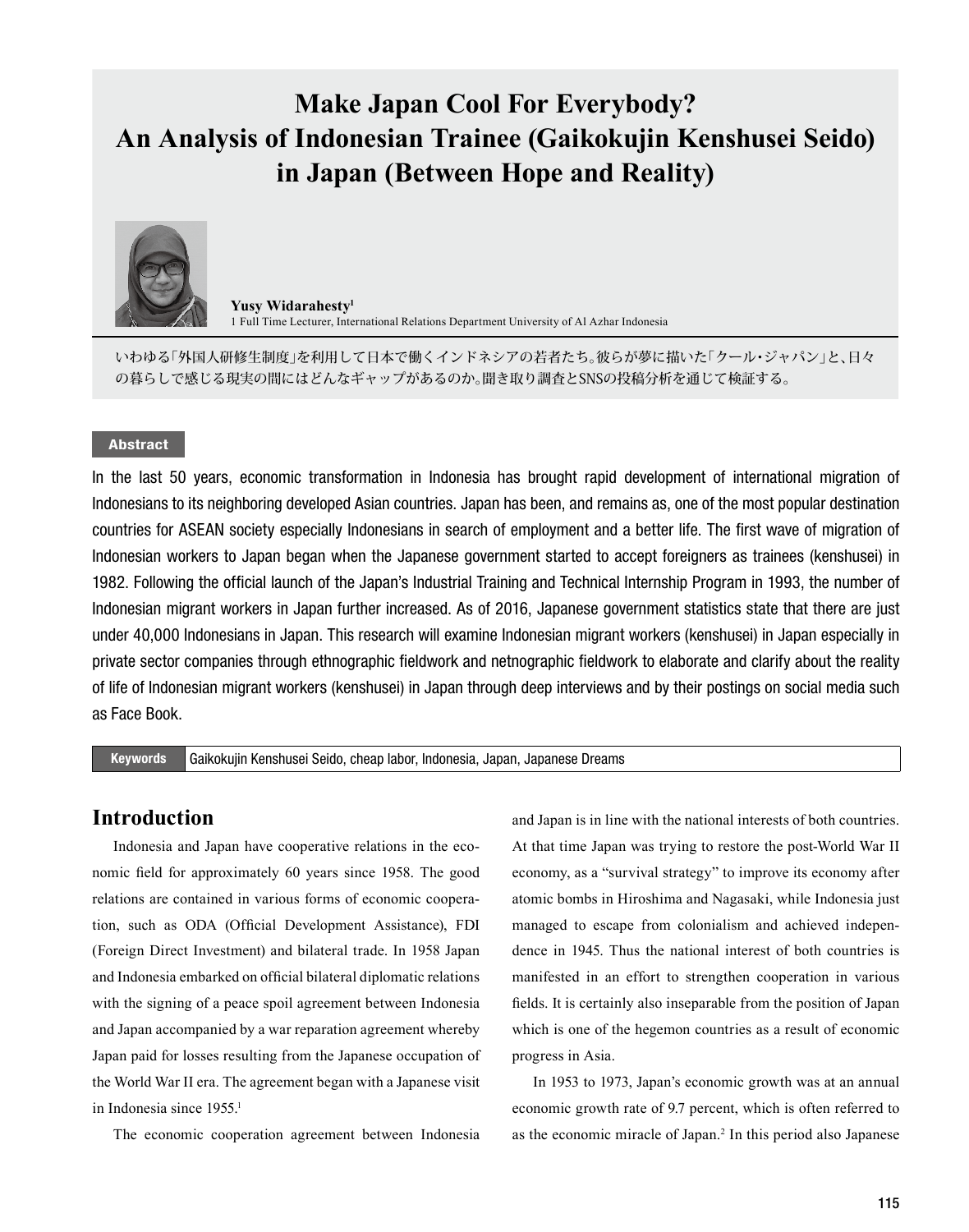# **Make Japan Cool For Everybody? An Analysis of Indonesian Trainee (Gaikokujin Kenshusei Seido) in Japan (Between Hope and Reality)**



**Yusy Widarahesty<sup>1</sup>** 1 Full Time Lecturer, International Relations Department University of Al Azhar Indonesia

いわゆる「外国人研修生制度」を利用して日本で働くインドネシアの若者たち。彼らが夢に描いた「クール・ジャパン」と、日々 の暮らしで感じる現実の間にはどんなギャップがあるのか。聞き取り調査とSNSの投稿分析を通じて検証する。

### Abstract

In the last 50 years, economic transformation in Indonesia has brought rapid development of international migration of Indonesians to its neighboring developed Asian countries. Japan has been, and remains as, one of the most popular destination countries for ASEAN society especially Indonesians in search of employment and a better life. The first wave of migration of Indonesian workers to Japan began when the Japanese government started to accept foreigners as trainees (kenshusei) in 1982. Following the official launch of the Japan's Industrial Training and Technical Internship Program in 1993, the number of Indonesian migrant workers in Japan further increased. As of 2016, Japanese government statistics state that there are just under 40,000 Indonesians in Japan. This research will examine Indonesian migrant workers (kenshusei) in Japan especially in private sector companies through ethnographic fieldwork and netnographic fieldwork to elaborate and clarify about the reality of life of Indonesian migrant workers (kenshusei) in Japan through deep interviews and by their postings on social media such as Face Book.

Keywords Gaikokujin Kenshusei Seido, cheap labor, Indonesia, Japan, Japanese Dreams

### **Introduction**

Indonesia and Japan have cooperative relations in the economic field for approximately 60 years since 1958. The good relations are contained in various forms of economic cooperation, such as ODA (Official Development Assistance), FDI (Foreign Direct Investment) and bilateral trade. In 1958 Japan and Indonesia embarked on official bilateral diplomatic relations with the signing of a peace spoil agreement between Indonesia and Japan accompanied by a war reparation agreement whereby Japan paid for losses resulting from the Japanese occupation of the World War II era. The agreement began with a Japanese visit in Indonesia since 1955.<sup>1</sup>

The economic cooperation agreement between Indonesia

and Japan is in line with the national interests of both countries. At that time Japan was trying to restore the post-World War II economy, as a "survival strategy" to improve its economy after atomic bombs in Hiroshima and Nagasaki, while Indonesia just managed to escape from colonialism and achieved independence in 1945. Thus the national interest of both countries is manifested in an effort to strengthen cooperation in various fields. It is certainly also inseparable from the position of Japan which is one of the hegemon countries as a result of economic progress in Asia.

In 1953 to 1973, Japan's economic growth was at an annual economic growth rate of 9.7 percent, which is often referred to as the economic miracle of Japan.2 In this period also Japanese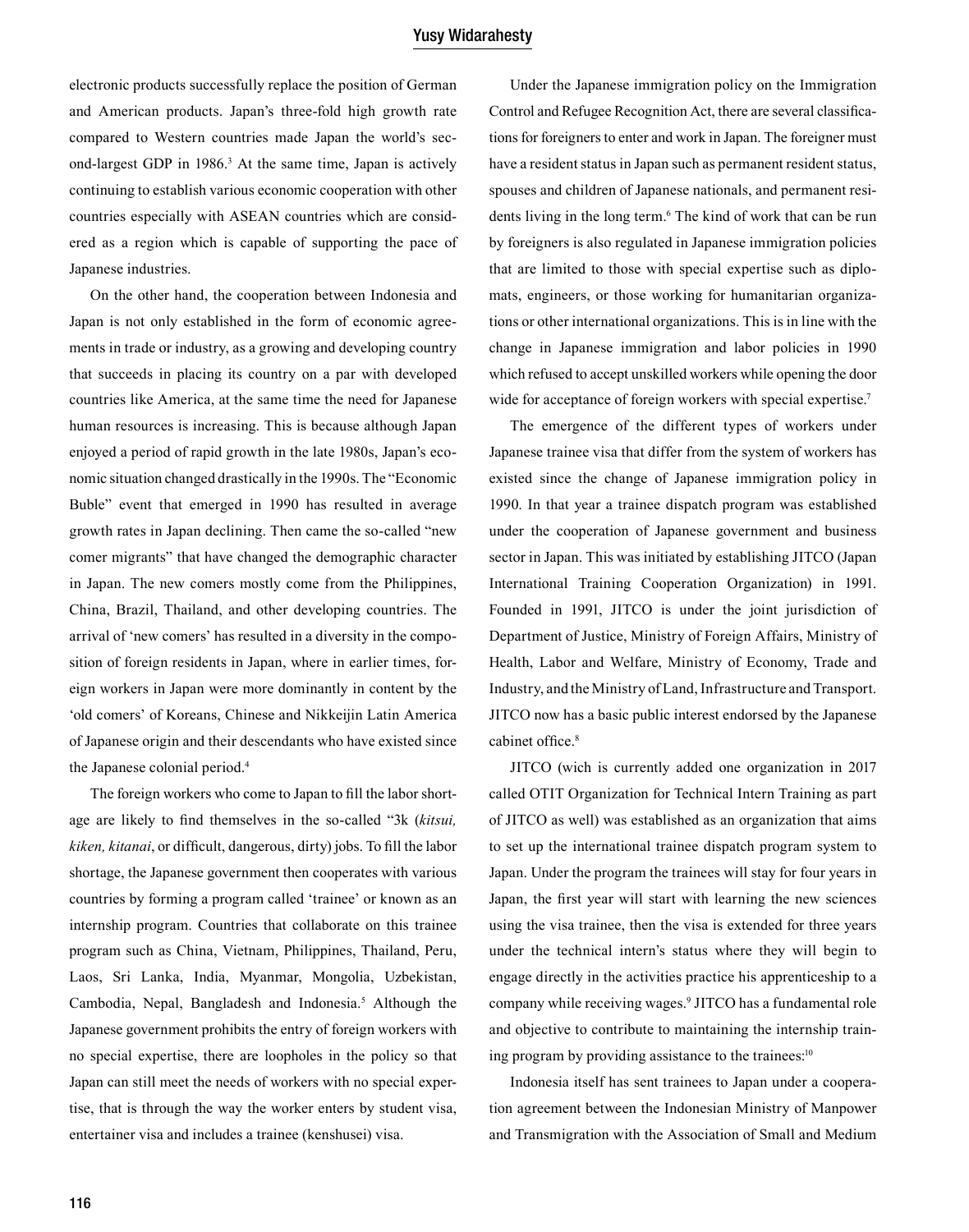electronic products successfully replace the position of German and American products. Japan's three-fold high growth rate compared to Western countries made Japan the world's second-largest GDP in 1986.<sup>3</sup> At the same time, Japan is actively continuing to establish various economic cooperation with other countries especially with ASEAN countries which are considered as a region which is capable of supporting the pace of Japanese industries.

On the other hand, the cooperation between Indonesia and Japan is not only established in the form of economic agreements in trade or industry, as a growing and developing country that succeeds in placing its country on a par with developed countries like America, at the same time the need for Japanese human resources is increasing. This is because although Japan enjoyed a period of rapid growth in the late 1980s, Japan's economic situation changed drastically in the 1990s. The "Economic Buble" event that emerged in 1990 has resulted in average growth rates in Japan declining. Then came the so-called "new comer migrants" that have changed the demographic character in Japan. The new comers mostly come from the Philippines, China, Brazil, Thailand, and other developing countries. The arrival of 'new comers' has resulted in a diversity in the composition of foreign residents in Japan, where in earlier times, foreign workers in Japan were more dominantly in content by the 'old comers' of Koreans, Chinese and Nikkeijin Latin America of Japanese origin and their descendants who have existed since the Japanese colonial period.4

The foreign workers who come to Japan to fill the labor shortage are likely to find themselves in the so-called "3k (*kitsui, kiken, kitanai*, or difficult, dangerous, dirty) jobs. To fill the labor shortage, the Japanese government then cooperates with various countries by forming a program called 'trainee' or known as an internship program. Countries that collaborate on this trainee program such as China, Vietnam, Philippines, Thailand, Peru, Laos, Sri Lanka, India, Myanmar, Mongolia, Uzbekistan, Cambodia, Nepal, Bangladesh and Indonesia.<sup>5</sup> Although the Japanese government prohibits the entry of foreign workers with no special expertise, there are loopholes in the policy so that Japan can still meet the needs of workers with no special expertise, that is through the way the worker enters by student visa, entertainer visa and includes a trainee (kenshusei) visa.

Under the Japanese immigration policy on the Immigration Control and Refugee Recognition Act, there are several classifications for foreigners to enter and work in Japan. The foreigner must have a resident status in Japan such as permanent resident status, spouses and children of Japanese nationals, and permanent residents living in the long term.<sup>6</sup> The kind of work that can be run by foreigners is also regulated in Japanese immigration policies that are limited to those with special expertise such as diplomats, engineers, or those working for humanitarian organizations or other international organizations. This is in line with the change in Japanese immigration and labor policies in 1990 which refused to accept unskilled workers while opening the door wide for acceptance of foreign workers with special expertise.<sup>7</sup>

The emergence of the different types of workers under Japanese trainee visa that differ from the system of workers has existed since the change of Japanese immigration policy in 1990. In that year a trainee dispatch program was established under the cooperation of Japanese government and business sector in Japan. This was initiated by establishing JITCO (Japan International Training Cooperation Organization) in 1991. Founded in 1991, JITCO is under the joint jurisdiction of Department of Justice, Ministry of Foreign Affairs, Ministry of Health, Labor and Welfare, Ministry of Economy, Trade and Industry, and the Ministry of Land, Infrastructure and Transport. JITCO now has a basic public interest endorsed by the Japanese cabinet office.<sup>8</sup>

JITCO (wich is currently added one organization in 2017 called OTIT Organization for Technical Intern Training as part of JITCO as well) was established as an organization that aims to set up the international trainee dispatch program system to Japan. Under the program the trainees will stay for four years in Japan, the first year will start with learning the new sciences using the visa trainee, then the visa is extended for three years under the technical intern's status where they will begin to engage directly in the activities practice his apprenticeship to a company while receiving wages.9 JITCO has a fundamental role and objective to contribute to maintaining the internship training program by providing assistance to the trainees:<sup>10</sup>

Indonesia itself has sent trainees to Japan under a cooperation agreement between the Indonesian Ministry of Manpower and Transmigration with the Association of Small and Medium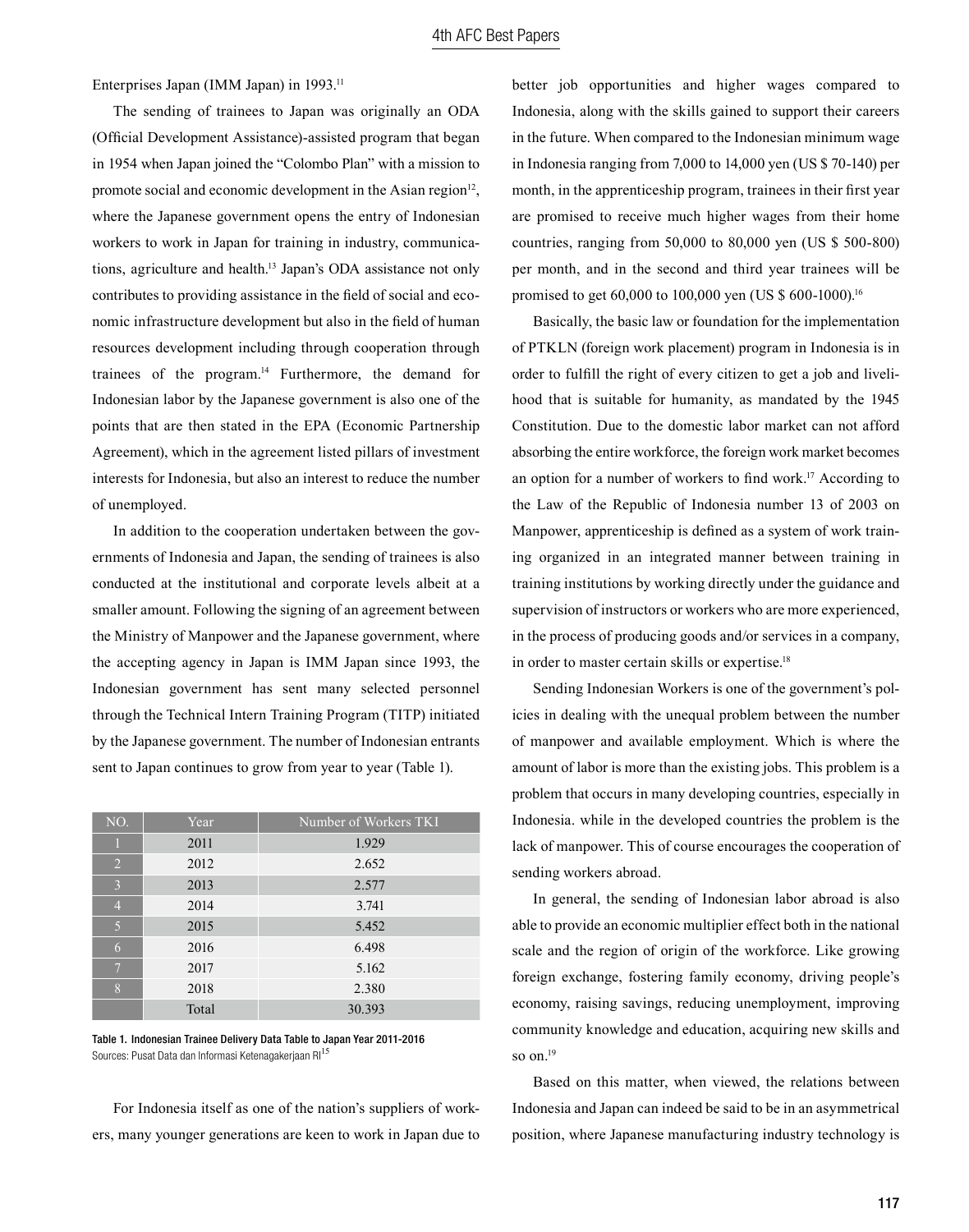Enterprises Japan (IMM Japan) in 1993.<sup>11</sup>

The sending of trainees to Japan was originally an ODA (Official Development Assistance)-assisted program that began in 1954 when Japan joined the "Colombo Plan" with a mission to promote social and economic development in the Asian region<sup>12</sup>, where the Japanese government opens the entry of Indonesian workers to work in Japan for training in industry, communications, agriculture and health.13 Japan's ODA assistance not only contributes to providing assistance in the field of social and economic infrastructure development but also in the field of human resources development including through cooperation through trainees of the program. $14$  Furthermore, the demand for Indonesian labor by the Japanese government is also one of the points that are then stated in the EPA (Economic Partnership Agreement), which in the agreement listed pillars of investment interests for Indonesia, but also an interest to reduce the number of unemployed.

In addition to the cooperation undertaken between the governments of Indonesia and Japan, the sending of trainees is also conducted at the institutional and corporate levels albeit at a smaller amount. Following the signing of an agreement between the Ministry of Manpower and the Japanese government, where the accepting agency in Japan is IMM Japan since 1993, the Indonesian government has sent many selected personnel through the Technical Intern Training Program (TITP) initiated by the Japanese government. The number of Indonesian entrants sent to Japan continues to grow from year to year (Table 1).

| NO.            | Year  | Number of Workers TKI |
|----------------|-------|-----------------------|
|                | 2011  | 1.929                 |
| $\overline{2}$ | 2012  | 2.652                 |
| 3              | 2013  | 2.577                 |
| $\overline{4}$ | 2014  | 3.741                 |
| 5              | 2015  | 5.452                 |
| 6              | 2016  | 6.498                 |
| $\overline{7}$ | 2017  | 5.162                 |
| 8              | 2018  | 2.380                 |
|                | Total | 30.393                |

Table 1. Indonesian Trainee Delivery Data Table to Japan Year 2011-2016 Sources: Pusat Data dan Informasi Ketenagakerjaan RI<sup>15</sup>

For Indonesia itself as one of the nation's suppliers of workers, many younger generations are keen to work in Japan due to better job opportunities and higher wages compared to Indonesia, along with the skills gained to support their careers in the future. When compared to the Indonesian minimum wage in Indonesia ranging from 7,000 to 14,000 yen (US \$ 70-140) per month, in the apprenticeship program, trainees in their first year are promised to receive much higher wages from their home countries, ranging from 50,000 to 80,000 yen (US \$ 500-800) per month, and in the second and third year trainees will be promised to get 60,000 to 100,000 yen (US \$ 600-1000).16

Basically, the basic law or foundation for the implementation of PTKLN (foreign work placement) program in Indonesia is in order to fulfill the right of every citizen to get a job and livelihood that is suitable for humanity, as mandated by the 1945 Constitution. Due to the domestic labor market can not afford absorbing the entire workforce, the foreign work market becomes an option for a number of workers to find work.<sup>17</sup> According to the Law of the Republic of Indonesia number 13 of 2003 on Manpower, apprenticeship is defined as a system of work training organized in an integrated manner between training in training institutions by working directly under the guidance and supervision of instructors or workers who are more experienced, in the process of producing goods and/or services in a company, in order to master certain skills or expertise.<sup>18</sup>

Sending Indonesian Workers is one of the government's policies in dealing with the unequal problem between the number of manpower and available employment. Which is where the amount of labor is more than the existing jobs. This problem is a problem that occurs in many developing countries, especially in Indonesia. while in the developed countries the problem is the lack of manpower. This of course encourages the cooperation of sending workers abroad.

In general, the sending of Indonesian labor abroad is also able to provide an economic multiplier effect both in the national scale and the region of origin of the workforce. Like growing foreign exchange, fostering family economy, driving people's economy, raising savings, reducing unemployment, improving community knowledge and education, acquiring new skills and so on.<sup>19</sup>

Based on this matter, when viewed, the relations between Indonesia and Japan can indeed be said to be in an asymmetrical position, where Japanese manufacturing industry technology is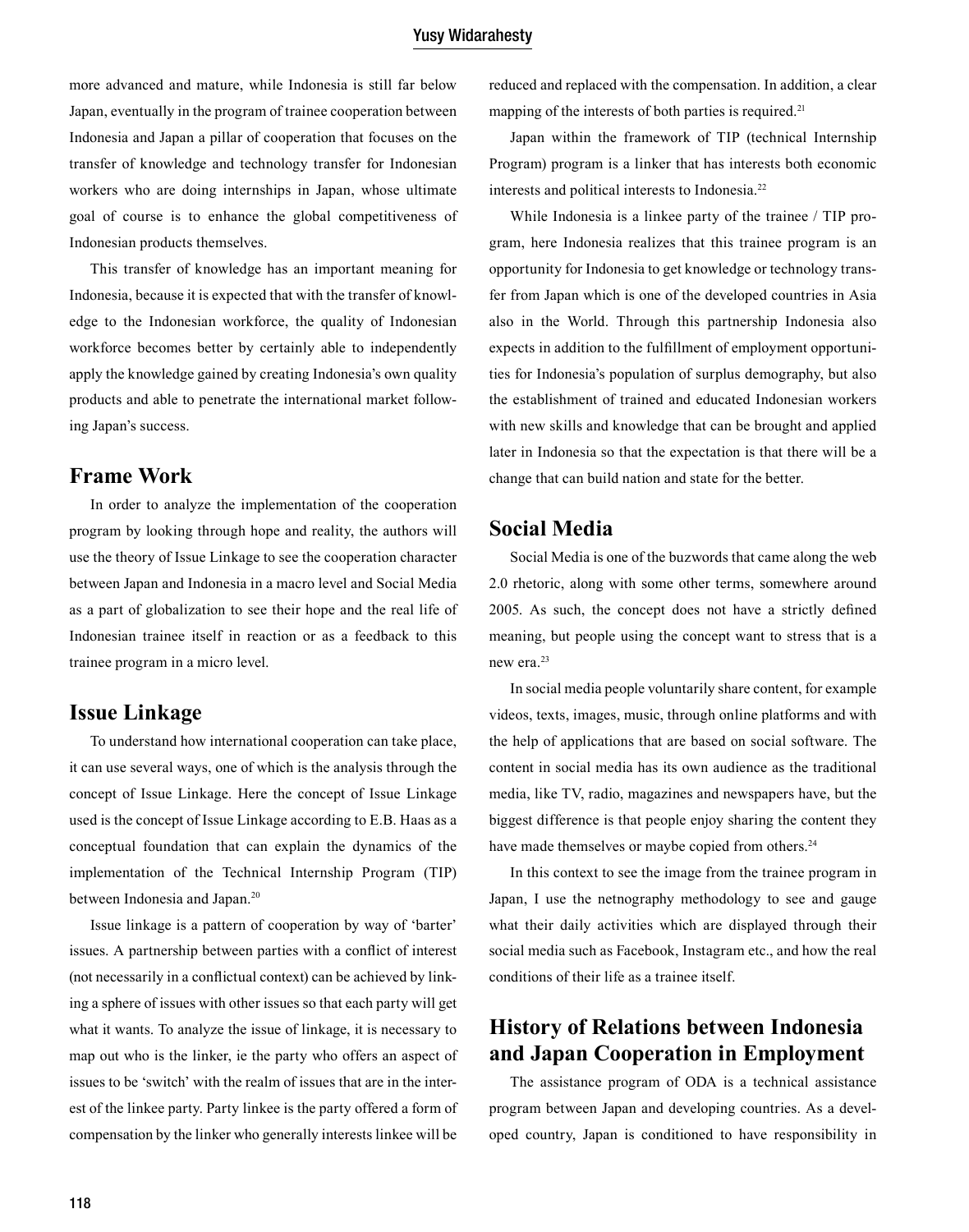more advanced and mature, while Indonesia is still far below Japan, eventually in the program of trainee cooperation between Indonesia and Japan a pillar of cooperation that focuses on the transfer of knowledge and technology transfer for Indonesian workers who are doing internships in Japan, whose ultimate goal of course is to enhance the global competitiveness of Indonesian products themselves.

This transfer of knowledge has an important meaning for Indonesia, because it is expected that with the transfer of knowledge to the Indonesian workforce, the quality of Indonesian workforce becomes better by certainly able to independently apply the knowledge gained by creating Indonesia's own quality products and able to penetrate the international market following Japan's success.

# **Frame Work**

In order to analyze the implementation of the cooperation program by looking through hope and reality, the authors will use the theory of Issue Linkage to see the cooperation character between Japan and Indonesia in a macro level and Social Media as a part of globalization to see their hope and the real life of Indonesian trainee itself in reaction or as a feedback to this trainee program in a micro level.

### **Issue Linkage**

To understand how international cooperation can take place, it can use several ways, one of which is the analysis through the concept of Issue Linkage. Here the concept of Issue Linkage used is the concept of Issue Linkage according to E.B. Haas as a conceptual foundation that can explain the dynamics of the implementation of the Technical Internship Program (TIP) between Indonesia and Japan.<sup>20</sup>

Issue linkage is a pattern of cooperation by way of 'barter' issues. A partnership between parties with a conflict of interest (not necessarily in a conflictual context) can be achieved by linking a sphere of issues with other issues so that each party will get what it wants. To analyze the issue of linkage, it is necessary to map out who is the linker, ie the party who offers an aspect of issues to be 'switch' with the realm of issues that are in the interest of the linkee party. Party linkee is the party offered a form of compensation by the linker who generally interests linkee will be reduced and replaced with the compensation. In addition, a clear mapping of the interests of both parties is required.<sup>21</sup>

Japan within the framework of TIP (technical Internship Program) program is a linker that has interests both economic interests and political interests to Indonesia.22

While Indonesia is a linkee party of the trainee / TIP program, here Indonesia realizes that this trainee program is an opportunity for Indonesia to get knowledge or technology transfer from Japan which is one of the developed countries in Asia also in the World. Through this partnership Indonesia also expects in addition to the fulfillment of employment opportunities for Indonesia's population of surplus demography, but also the establishment of trained and educated Indonesian workers with new skills and knowledge that can be brought and applied later in Indonesia so that the expectation is that there will be a change that can build nation and state for the better.

## **Social Media**

Social Media is one of the buzwords that came along the web 2.0 rhetoric, along with some other terms, somewhere around 2005. As such, the concept does not have a strictly defined meaning, but people using the concept want to stress that is a new era.<sup>23</sup>

In social media people voluntarily share content, for example videos, texts, images, music, through online platforms and with the help of applications that are based on social software. The content in social media has its own audience as the traditional media, like TV, radio, magazines and newspapers have, but the biggest difference is that people enjoy sharing the content they have made themselves or maybe copied from others.<sup>24</sup>

In this context to see the image from the trainee program in Japan, I use the netnography methodology to see and gauge what their daily activities which are displayed through their social media such as Facebook, Instagram etc., and how the real conditions of their life as a trainee itself.

# **History of Relations between Indonesia and Japan Cooperation in Employment**

The assistance program of ODA is a technical assistance program between Japan and developing countries. As a developed country, Japan is conditioned to have responsibility in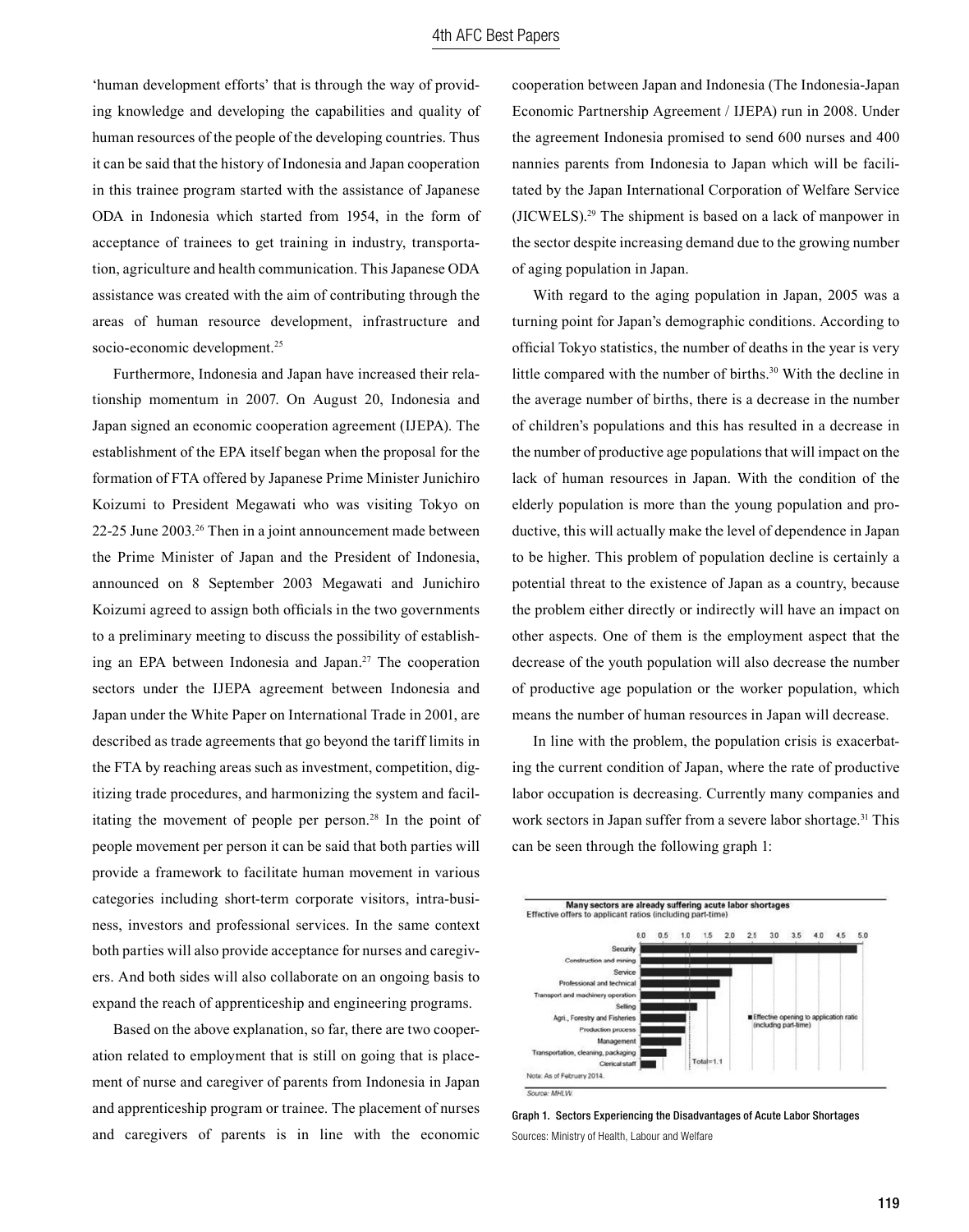'human development efforts' that is through the way of providing knowledge and developing the capabilities and quality of human resources of the people of the developing countries. Thus it can be said that the history of Indonesia and Japan cooperation in this trainee program started with the assistance of Japanese ODA in Indonesia which started from 1954, in the form of acceptance of trainees to get training in industry, transportation, agriculture and health communication. This Japanese ODA assistance was created with the aim of contributing through the areas of human resource development, infrastructure and socio-economic development.<sup>25</sup>

Furthermore, Indonesia and Japan have increased their relationship momentum in 2007. On August 20, Indonesia and Japan signed an economic cooperation agreement (IJEPA). The establishment of the EPA itself began when the proposal for the formation of FTA offered by Japanese Prime Minister Junichiro Koizumi to President Megawati who was visiting Tokyo on 22-25 June 2003.26 Then in a joint announcement made between the Prime Minister of Japan and the President of Indonesia, announced on 8 September 2003 Megawati and Junichiro Koizumi agreed to assign both officials in the two governments to a preliminary meeting to discuss the possibility of establishing an EPA between Indonesia and Japan.<sup>27</sup> The cooperation sectors under the IJEPA agreement between Indonesia and Japan under the White Paper on International Trade in 2001, are described as trade agreements that go beyond the tariff limits in the FTA by reaching areas such as investment, competition, digitizing trade procedures, and harmonizing the system and facilitating the movement of people per person.<sup>28</sup> In the point of people movement per person it can be said that both parties will provide a framework to facilitate human movement in various categories including short-term corporate visitors, intra-business, investors and professional services. In the same context both parties will also provide acceptance for nurses and caregivers. And both sides will also collaborate on an ongoing basis to expand the reach of apprenticeship and engineering programs.

Based on the above explanation, so far, there are two cooperation related to employment that is still on going that is placement of nurse and caregiver of parents from Indonesia in Japan and apprenticeship program or trainee. The placement of nurses and caregivers of parents is in line with the economic cooperation between Japan and Indonesia (The Indonesia-Japan Economic Partnership Agreement / IJEPA) run in 2008. Under the agreement Indonesia promised to send 600 nurses and 400 nannies parents from Indonesia to Japan which will be facilitated by the Japan International Corporation of Welfare Service (JICWELS).29 The shipment is based on a lack of manpower in the sector despite increasing demand due to the growing number of aging population in Japan.

With regard to the aging population in Japan, 2005 was a turning point for Japan's demographic conditions. According to official Tokyo statistics, the number of deaths in the year is very little compared with the number of births.<sup>30</sup> With the decline in the average number of births, there is a decrease in the number of children's populations and this has resulted in a decrease in the number of productive age populations that will impact on the lack of human resources in Japan. With the condition of the elderly population is more than the young population and productive, this will actually make the level of dependence in Japan to be higher. This problem of population decline is certainly a potential threat to the existence of Japan as a country, because the problem either directly or indirectly will have an impact on other aspects. One of them is the employment aspect that the decrease of the youth population will also decrease the number of productive age population or the worker population, which means the number of human resources in Japan will decrease.

In line with the problem, the population crisis is exacerbating the current condition of Japan, where the rate of productive labor occupation is decreasing. Currently many companies and work sectors in Japan suffer from a severe labor shortage.<sup>31</sup> This can be seen through the following graph 1:



Graph 1. Sectors Experiencing the Disadvantages of Acute Labor Shortages Sources: Ministry of Health, Labour and Welfare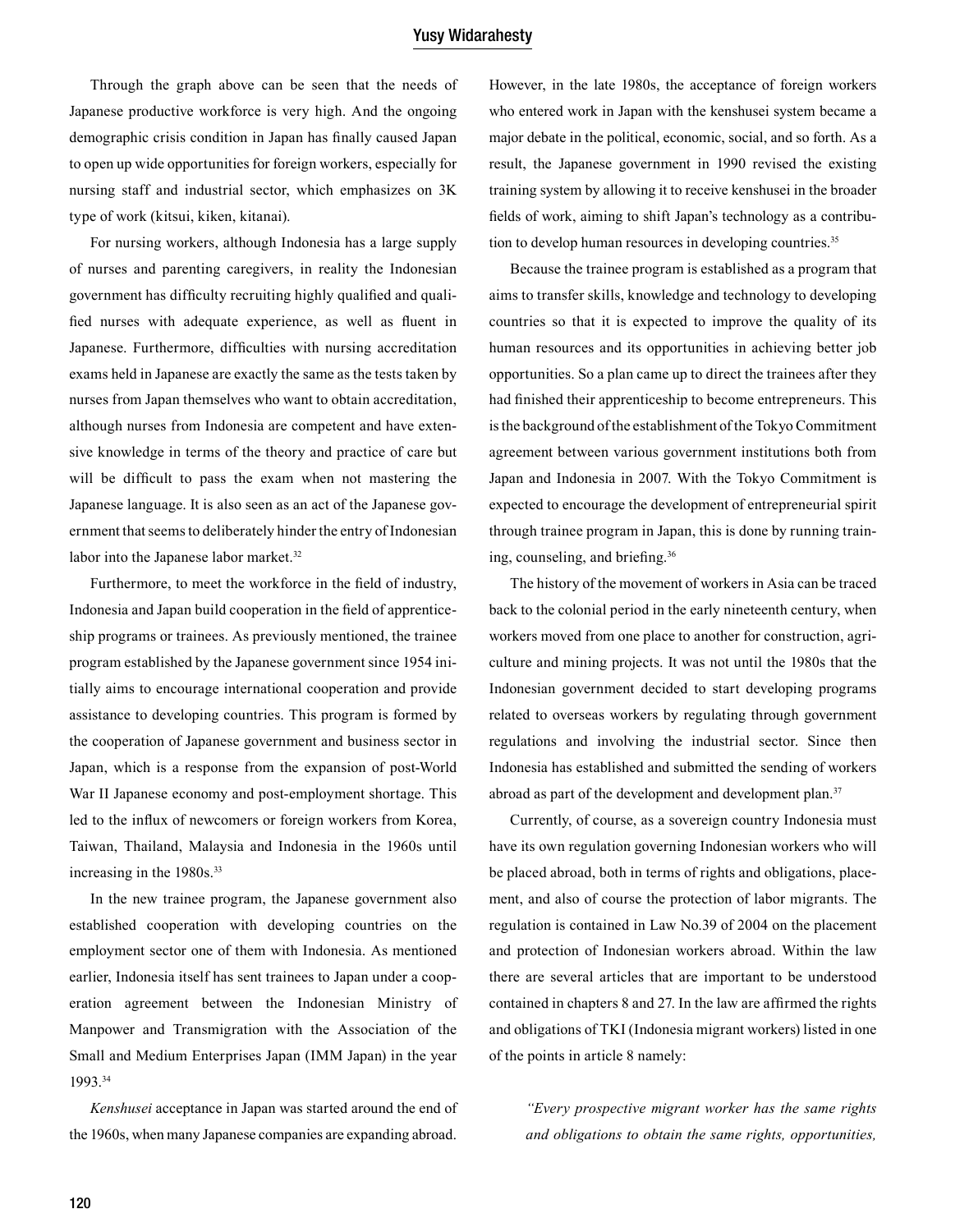Through the graph above can be seen that the needs of Japanese productive workforce is very high. And the ongoing demographic crisis condition in Japan has finally caused Japan to open up wide opportunities for foreign workers, especially for nursing staff and industrial sector, which emphasizes on 3K type of work (kitsui, kiken, kitanai).

For nursing workers, although Indonesia has a large supply of nurses and parenting caregivers, in reality the Indonesian government has difficulty recruiting highly qualified and qualified nurses with adequate experience, as well as fluent in Japanese. Furthermore, difficulties with nursing accreditation exams held in Japanese are exactly the same as the tests taken by nurses from Japan themselves who want to obtain accreditation, although nurses from Indonesia are competent and have extensive knowledge in terms of the theory and practice of care but will be difficult to pass the exam when not mastering the Japanese language. It is also seen as an act of the Japanese government that seems to deliberately hinder the entry of Indonesian labor into the Japanese labor market.<sup>32</sup>

Furthermore, to meet the workforce in the field of industry, Indonesia and Japan build cooperation in the field of apprenticeship programs or trainees. As previously mentioned, the trainee program established by the Japanese government since 1954 initially aims to encourage international cooperation and provide assistance to developing countries. This program is formed by the cooperation of Japanese government and business sector in Japan, which is a response from the expansion of post-World War II Japanese economy and post-employment shortage. This led to the influx of newcomers or foreign workers from Korea, Taiwan, Thailand, Malaysia and Indonesia in the 1960s until increasing in the 1980s.<sup>33</sup>

In the new trainee program, the Japanese government also established cooperation with developing countries on the employment sector one of them with Indonesia. As mentioned earlier, Indonesia itself has sent trainees to Japan under a cooperation agreement between the Indonesian Ministry of Manpower and Transmigration with the Association of the Small and Medium Enterprises Japan (IMM Japan) in the year 1993.34

*Kenshusei* acceptance in Japan was started around the end of the 1960s, when many Japanese companies are expanding abroad.

However, in the late 1980s, the acceptance of foreign workers who entered work in Japan with the kenshusei system became a major debate in the political, economic, social, and so forth. As a result, the Japanese government in 1990 revised the existing training system by allowing it to receive kenshusei in the broader fields of work, aiming to shift Japan's technology as a contribution to develop human resources in developing countries.<sup>35</sup>

Because the trainee program is established as a program that aims to transfer skills, knowledge and technology to developing countries so that it is expected to improve the quality of its human resources and its opportunities in achieving better job opportunities. So a plan came up to direct the trainees after they had finished their apprenticeship to become entrepreneurs. This is the background of the establishment of the Tokyo Commitment agreement between various government institutions both from Japan and Indonesia in 2007. With the Tokyo Commitment is expected to encourage the development of entrepreneurial spirit through trainee program in Japan, this is done by running training, counseling, and briefing.<sup>36</sup>

The history of the movement of workers in Asia can be traced back to the colonial period in the early nineteenth century, when workers moved from one place to another for construction, agriculture and mining projects. It was not until the 1980s that the Indonesian government decided to start developing programs related to overseas workers by regulating through government regulations and involving the industrial sector. Since then Indonesia has established and submitted the sending of workers abroad as part of the development and development plan.<sup>37</sup>

Currently, of course, as a sovereign country Indonesia must have its own regulation governing Indonesian workers who will be placed abroad, both in terms of rights and obligations, placement, and also of course the protection of labor migrants. The regulation is contained in Law No.39 of 2004 on the placement and protection of Indonesian workers abroad. Within the law there are several articles that are important to be understood contained in chapters 8 and 27. In the law are affirmed the rights and obligations of TKI (Indonesia migrant workers) listed in one of the points in article 8 namely:

*"Every prospective migrant worker has the same rights and obligations to obtain the same rights, opportunities,*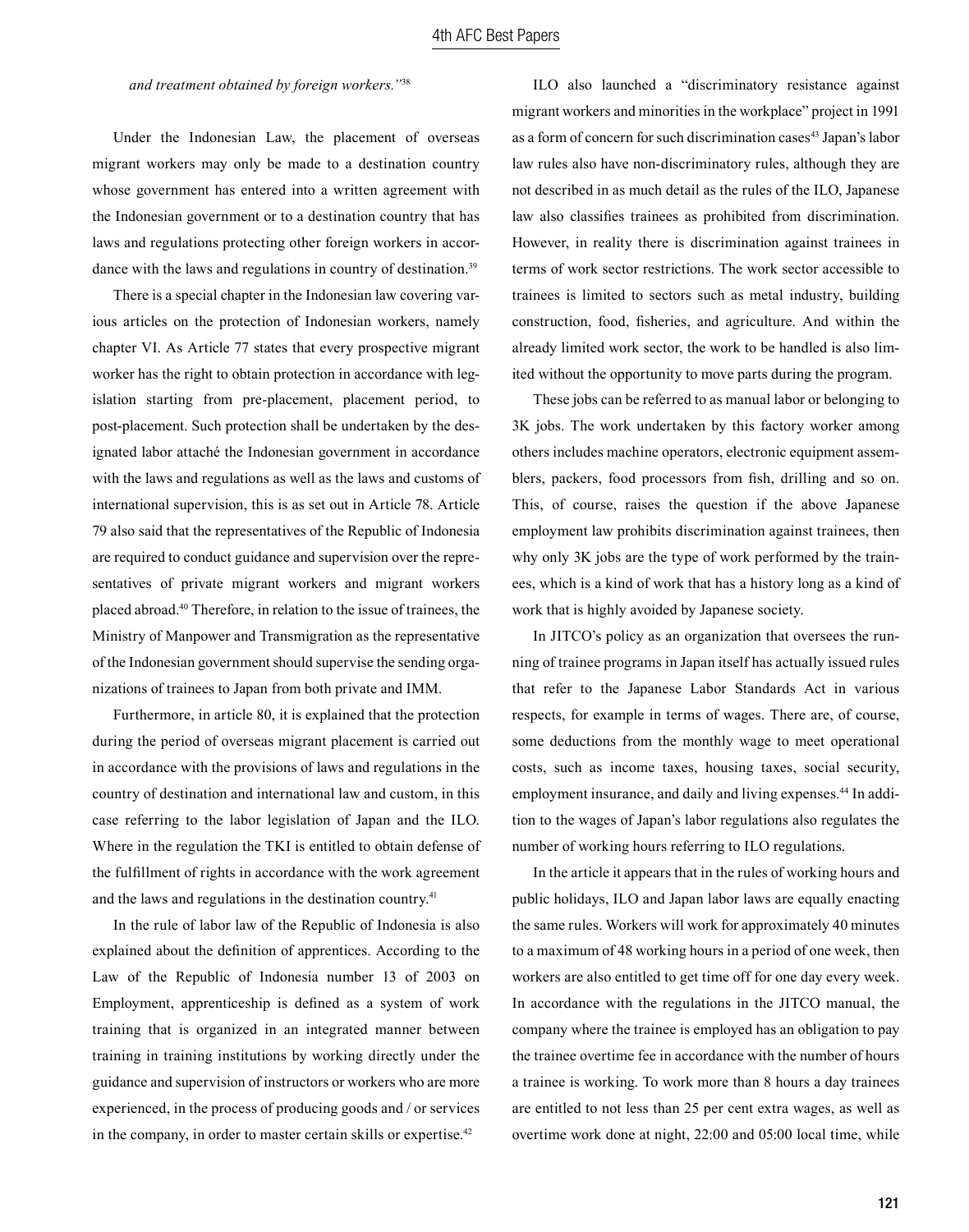*and treatment obtained by foreign workers."*<sup>38</sup>

Under the Indonesian Law, the placement of overseas migrant workers may only be made to a destination country whose government has entered into a written agreement with the Indonesian government or to a destination country that has laws and regulations protecting other foreign workers in accordance with the laws and regulations in country of destination.<sup>39</sup>

There is a special chapter in the Indonesian law covering various articles on the protection of Indonesian workers, namely chapter VI. As Article 77 states that every prospective migrant worker has the right to obtain protection in accordance with legislation starting from pre-placement, placement period, to post-placement. Such protection shall be undertaken by the designated labor attaché the Indonesian government in accordance with the laws and regulations as well as the laws and customs of international supervision, this is as set out in Article 78. Article 79 also said that the representatives of the Republic of Indonesia are required to conduct guidance and supervision over the representatives of private migrant workers and migrant workers placed abroad.40 Therefore, in relation to the issue of trainees, the Ministry of Manpower and Transmigration as the representative of the Indonesian government should supervise the sending organizations of trainees to Japan from both private and IMM.

Furthermore, in article 80, it is explained that the protection during the period of overseas migrant placement is carried out in accordance with the provisions of laws and regulations in the country of destination and international law and custom, in this case referring to the labor legislation of Japan and the ILO. Where in the regulation the TKI is entitled to obtain defense of the fulfillment of rights in accordance with the work agreement and the laws and regulations in the destination country.<sup>41</sup>

In the rule of labor law of the Republic of Indonesia is also explained about the definition of apprentices. According to the Law of the Republic of Indonesia number 13 of 2003 on Employment, apprenticeship is defined as a system of work training that is organized in an integrated manner between training in training institutions by working directly under the guidance and supervision of instructors or workers who are more experienced, in the process of producing goods and / or services in the company, in order to master certain skills or expertise.<sup>42</sup>

ILO also launched a "discriminatory resistance against migrant workers and minorities in the workplace" project in 1991 as a form of concern for such discrimination cases<sup>43</sup> Japan's labor law rules also have non-discriminatory rules, although they are not described in as much detail as the rules of the ILO, Japanese law also classifies trainees as prohibited from discrimination. However, in reality there is discrimination against trainees in terms of work sector restrictions. The work sector accessible to trainees is limited to sectors such as metal industry, building construction, food, fisheries, and agriculture. And within the already limited work sector, the work to be handled is also limited without the opportunity to move parts during the program.

These jobs can be referred to as manual labor or belonging to 3K jobs. The work undertaken by this factory worker among others includes machine operators, electronic equipment assemblers, packers, food processors from fish, drilling and so on. This, of course, raises the question if the above Japanese employment law prohibits discrimination against trainees, then why only 3K jobs are the type of work performed by the trainees, which is a kind of work that has a history long as a kind of work that is highly avoided by Japanese society.

In JITCO's policy as an organization that oversees the running of trainee programs in Japan itself has actually issued rules that refer to the Japanese Labor Standards Act in various respects, for example in terms of wages. There are, of course, some deductions from the monthly wage to meet operational costs, such as income taxes, housing taxes, social security, employment insurance, and daily and living expenses.<sup>44</sup> In addition to the wages of Japan's labor regulations also regulates the number of working hours referring to ILO regulations.

In the article it appears that in the rules of working hours and public holidays, ILO and Japan labor laws are equally enacting the same rules. Workers will work for approximately 40 minutes to a maximum of 48 working hours in a period of one week, then workers are also entitled to get time off for one day every week. In accordance with the regulations in the JITCO manual, the company where the trainee is employed has an obligation to pay the trainee overtime fee in accordance with the number of hours a trainee is working. To work more than 8 hours a day trainees are entitled to not less than 25 per cent extra wages, as well as overtime work done at night, 22:00 and 05:00 local time, while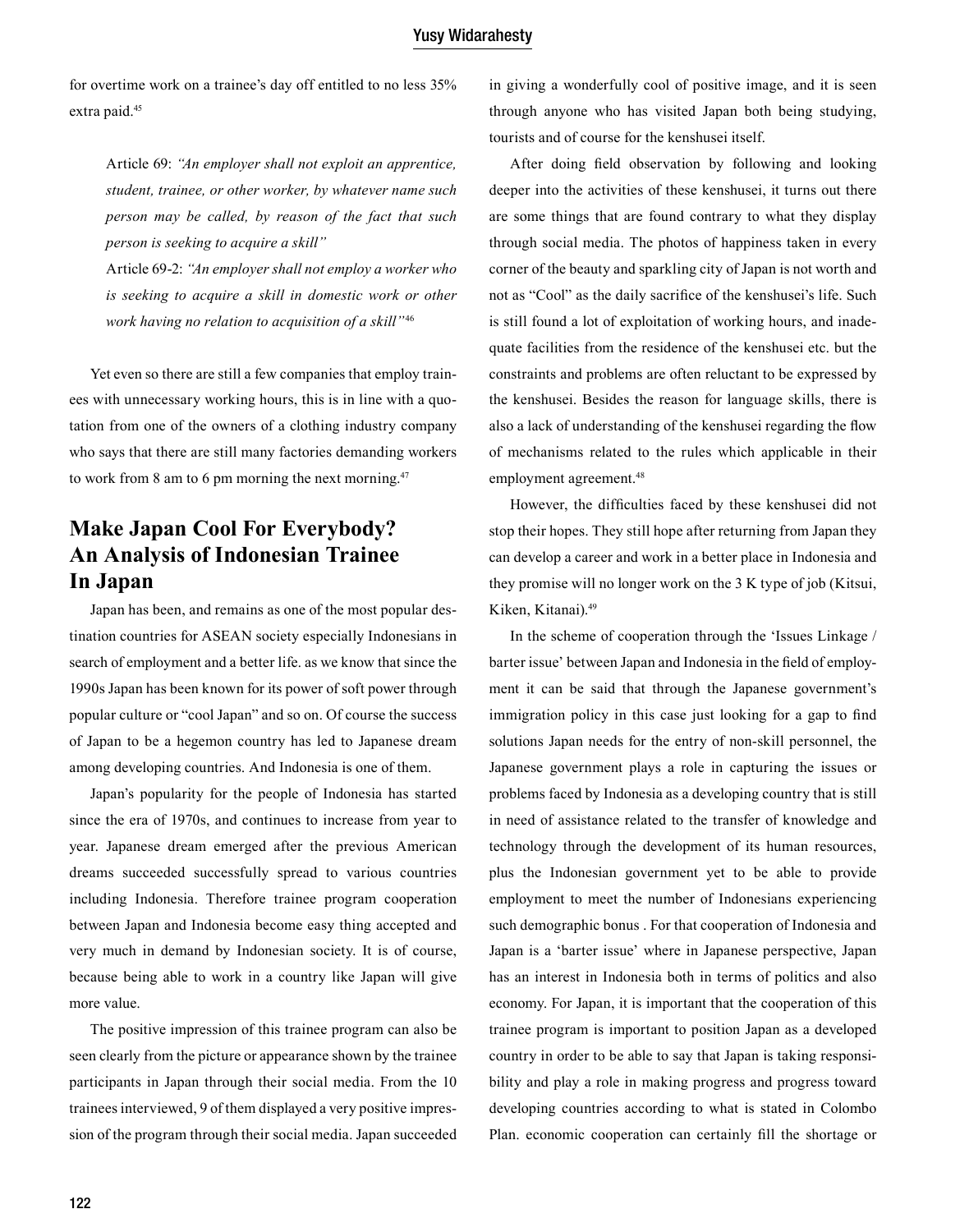for overtime work on a trainee's day off entitled to no less 35% extra paid.<sup>45</sup>

Article 69: *"An employer shall not exploit an apprentice, student, trainee, or other worker, by whatever name such person may be called, by reason of the fact that such person is seeking to acquire a skill"*

Article 69-2: *"An employer shall not employ a worker who is seeking to acquire a skill in domestic work or other work having no relation to acquisition of a skill"*<sup>46</sup>

Yet even so there are still a few companies that employ trainees with unnecessary working hours, this is in line with a quotation from one of the owners of a clothing industry company who says that there are still many factories demanding workers to work from 8 am to 6 pm morning the next morning.47

# **Make Japan Cool For Everybody? An Analysis of Indonesian Trainee In Japan**

Japan has been, and remains as one of the most popular destination countries for ASEAN society especially Indonesians in search of employment and a better life. as we know that since the 1990s Japan has been known for its power of soft power through popular culture or "cool Japan" and so on. Of course the success of Japan to be a hegemon country has led to Japanese dream among developing countries. And Indonesia is one of them.

Japan's popularity for the people of Indonesia has started since the era of 1970s, and continues to increase from year to year. Japanese dream emerged after the previous American dreams succeeded successfully spread to various countries including Indonesia. Therefore trainee program cooperation between Japan and Indonesia become easy thing accepted and very much in demand by Indonesian society. It is of course, because being able to work in a country like Japan will give more value.

The positive impression of this trainee program can also be seen clearly from the picture or appearance shown by the trainee participants in Japan through their social media. From the 10 trainees interviewed, 9 of them displayed a very positive impression of the program through their social media. Japan succeeded in giving a wonderfully cool of positive image, and it is seen through anyone who has visited Japan both being studying, tourists and of course for the kenshusei itself.

After doing field observation by following and looking deeper into the activities of these kenshusei, it turns out there are some things that are found contrary to what they display through social media. The photos of happiness taken in every corner of the beauty and sparkling city of Japan is not worth and not as "Cool" as the daily sacrifice of the kenshusei's life. Such is still found a lot of exploitation of working hours, and inadequate facilities from the residence of the kenshusei etc. but the constraints and problems are often reluctant to be expressed by the kenshusei. Besides the reason for language skills, there is also a lack of understanding of the kenshusei regarding the flow of mechanisms related to the rules which applicable in their employment agreement.<sup>48</sup>

However, the difficulties faced by these kenshusei did not stop their hopes. They still hope after returning from Japan they can develop a career and work in a better place in Indonesia and they promise will no longer work on the 3 K type of job (Kitsui, Kiken, Kitanai).49

In the scheme of cooperation through the 'Issues Linkage / barter issue' between Japan and Indonesia in the field of employment it can be said that through the Japanese government's immigration policy in this case just looking for a gap to find solutions Japan needs for the entry of non-skill personnel, the Japanese government plays a role in capturing the issues or problems faced by Indonesia as a developing country that is still in need of assistance related to the transfer of knowledge and technology through the development of its human resources, plus the Indonesian government yet to be able to provide employment to meet the number of Indonesians experiencing such demographic bonus . For that cooperation of Indonesia and Japan is a 'barter issue' where in Japanese perspective, Japan has an interest in Indonesia both in terms of politics and also economy. For Japan, it is important that the cooperation of this trainee program is important to position Japan as a developed country in order to be able to say that Japan is taking responsibility and play a role in making progress and progress toward developing countries according to what is stated in Colombo Plan. economic cooperation can certainly fill the shortage or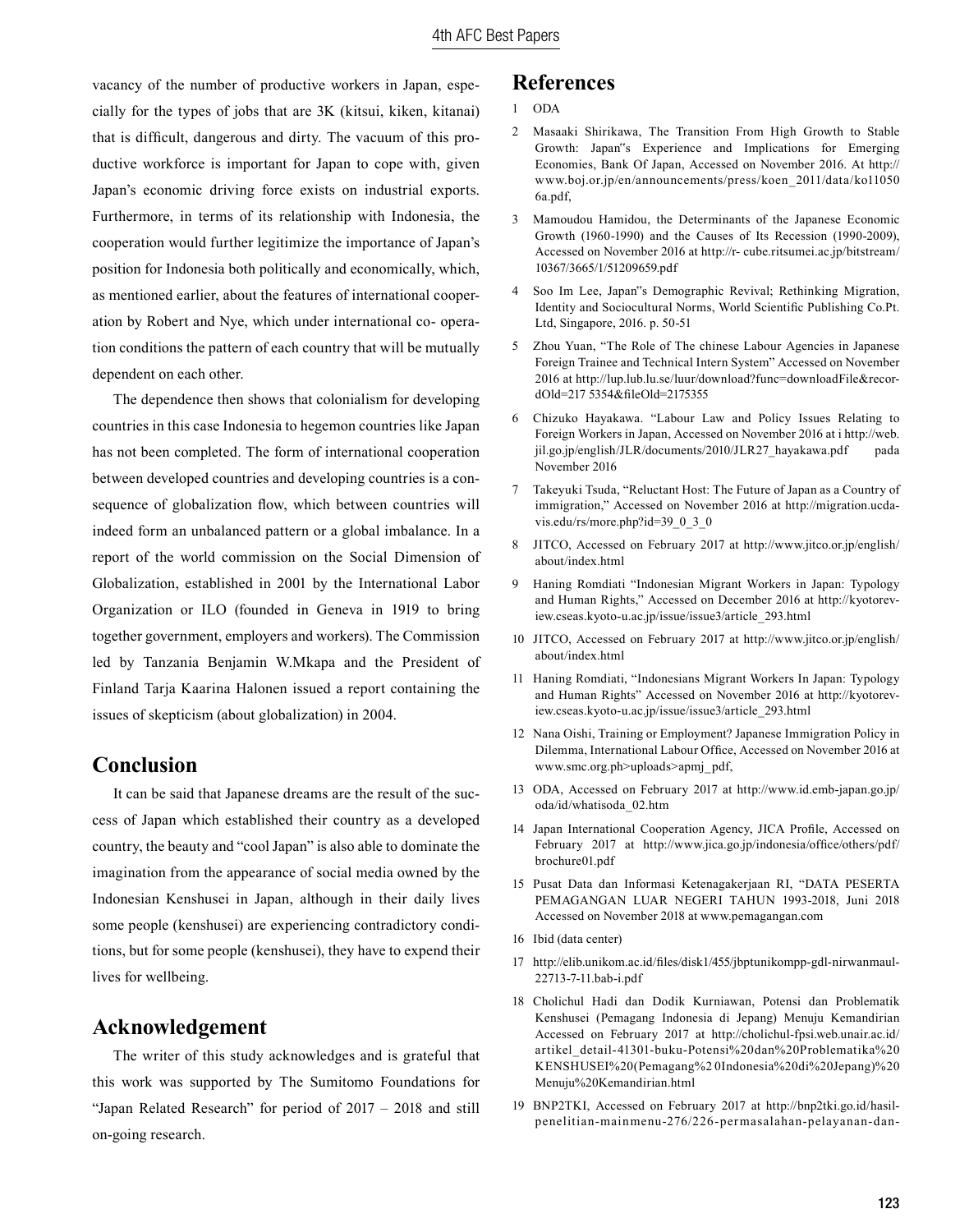vacancy of the number of productive workers in Japan, especially for the types of jobs that are 3K (kitsui, kiken, kitanai) that is difficult, dangerous and dirty. The vacuum of this productive workforce is important for Japan to cope with, given Japan's economic driving force exists on industrial exports. Furthermore, in terms of its relationship with Indonesia, the cooperation would further legitimize the importance of Japan's position for Indonesia both politically and economically, which, as mentioned earlier, about the features of international cooperation by Robert and Nye, which under international co- operation conditions the pattern of each country that will be mutually dependent on each other.

The dependence then shows that colonialism for developing countries in this case Indonesia to hegemon countries like Japan has not been completed. The form of international cooperation between developed countries and developing countries is a consequence of globalization flow, which between countries will indeed form an unbalanced pattern or a global imbalance. In a report of the world commission on the Social Dimension of Globalization, established in 2001 by the International Labor Organization or ILO (founded in Geneva in 1919 to bring together government, employers and workers). The Commission led by Tanzania Benjamin W.Mkapa and the President of Finland Tarja Kaarina Halonen issued a report containing the issues of skepticism (about globalization) in 2004.

# **Conclusion**

It can be said that Japanese dreams are the result of the success of Japan which established their country as a developed country, the beauty and "cool Japan" is also able to dominate the imagination from the appearance of social media owned by the Indonesian Kenshusei in Japan, although in their daily lives some people (kenshusei) are experiencing contradictory conditions, but for some people (kenshusei), they have to expend their lives for wellbeing.

## **Acknowledgement**

The writer of this study acknowledges and is grateful that this work was supported by The Sumitomo Foundations for "Japan Related Research" for period of 2017 – 2018 and still on-going research.

# **References**

- 1 ODA
- 2 Masaaki Shirikawa, The Transition From High Growth to Stable Growth: Japan"s Experience and Implications for Emerging Economies, Bank Of Japan, Accessed on November 2016. At http:// www.boj.or.jp/en/announcements/press/koen\_2011/data/ko11050 6a.pdf,
- 3 Mamoudou Hamidou, the Determinants of the Japanese Economic Growth (1960-1990) and the Causes of Its Recession (1990-2009), Accessed on November 2016 at http://r- cube.ritsumei.ac.jp/bitstream/ 10367/3665/1/51209659.pdf
- Soo Im Lee, Japan"s Demographic Revival; Rethinking Migration, Identity and Sociocultural Norms, World Scientific Publishing Co.Pt. Ltd, Singapore, 2016. p. 50-51
- 5 Zhou Yuan, "The Role of The chinese Labour Agencies in Japanese Foreign Trainee and Technical Intern System" Accessed on November 2016 at http://lup.lub.lu.se/luur/download?func=downloadFile&recordOld=217 5354&fileOld=2175355
- 6 Chizuko Hayakawa. "Labour Law and Policy Issues Relating to Foreign Workers in Japan, Accessed on November 2016 at i http://web. jil.go.jp/english/JLR/documents/2010/JLR27\_hayakawa.pdf pada November 2016
- 7 Takeyuki Tsuda, "Reluctant Host: The Future of Japan as a Country of immigration," Accessed on November 2016 at http://migration.ucdavis.edu/rs/more.php?id=39\_0\_3\_0
- 8 JITCO, Accessed on February 2017 at http://www.jitco.or.jp/english/ about/index.html
- 9 Haning Romdiati "Indonesian Migrant Workers in Japan: Typology and Human Rights," Accessed on December 2016 at http://kyotoreview.cseas.kyoto-u.ac.jp/issue/issue3/article\_293.html
- 10 JITCO, Accessed on February 2017 at http://www.jitco.or.jp/english/ about/index.html
- 11 Haning Romdiati, "Indonesians Migrant Workers In Japan: Typology and Human Rights" Accessed on November 2016 at http://kyotoreview.cseas.kyoto-u.ac.jp/issue/issue3/article\_293.html
- 12 Nana Oishi, Training or Employment? Japanese Immigration Policy in Dilemma, International Labour Office, Accessed on November 2016 at www.smc.org.ph>uploads>apmj\_pdf,
- 13 ODA, Accessed on February 2017 at http://www.id.emb-japan.go.jp/ oda/id/whatisoda\_02.htm
- 14 Japan International Cooperation Agency, JICA Profile, Accessed on February 2017 at http://www.jica.go.jp/indonesia/office/others/pdf/ brochure01.pdf
- 15 Pusat Data dan Informasi Ketenagakerjaan RI, "DATA PESERTA PEMAGANGAN LUAR NEGERI TAHUN 1993-2018, Juni 2018 Accessed on November 2018 at www.pemagangan.com
- 16 Ibid (data center)
- 17 http://elib.unikom.ac.id/files/disk1/455/jbptunikompp-gdl- nirwanmaul-22713-7-11.bab-i.pdf
- 18 Cholichul Hadi dan Dodik Kurniawan, Potensi dan Problematik Kenshusei (Pemagang Indonesia di Jepang) Menuju Kemandirian Accessed on February 2017 at http://cholichul-fpsi.web.unair.ac.id/ artikel\_detail-41301-buku-Potensi%20dan%20Problematika%20 KENSHUSEI%20(Pemagang%2 0Indonesia%20di%20Jepang)%20 Menuju%20Kemandirian.html
- 19 BNP2TKI, Accessed on February 2017 at http://bnp2tki.go.id/hasilpenelitian-mainmenu-276/226-permasalahan-pelayanan-dan-